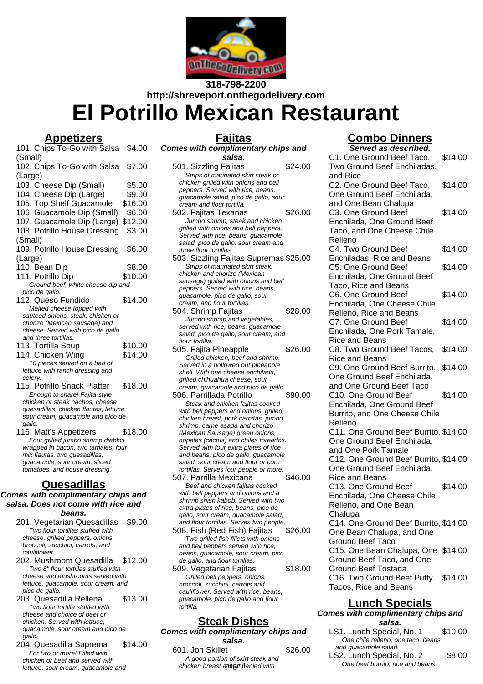

# **318-798-2200 http://shreveport.onthegodelivery.com El Potrillo Mexican Restaurant**

### **Appetizers**

| <u> 1220 - 1231 - 1242 - 1252 - 1253 - 1253 - 1253 - 1253 - 1253 - 1253 - 1253 - 1253 - 1253 - 1253 - 1253 - 125</u> |         |
|----------------------------------------------------------------------------------------------------------------------|---------|
| 101. Chips To-Go with Salsa                                                                                          | \$4.00  |
| (Small)                                                                                                              |         |
| 102. Chips To-Go with Salsa                                                                                          | \$7.00  |
| (Large)                                                                                                              |         |
| 103. Cheese Dip (Small)                                                                                              | \$5.00  |
| 104. Cheese Dip (Large)                                                                                              | \$9.00  |
| 105. Top Shelf Guacamole                                                                                             | \$16.00 |
| 106. Guacamole Dip (Small)                                                                                           | \$6.00  |
| 107. Guacamole Dip (Large)                                                                                           | \$12.00 |
| 108. Potrillo House Dressing                                                                                         | \$3.00  |
| (Small)                                                                                                              |         |
| 109. Potrillo House Dressing                                                                                         | \$6.00  |
| (Large)                                                                                                              |         |
| 110. Bean Dip                                                                                                        | \$8.00  |
| 111. Potrillo Dip                                                                                                    | \$10.00 |
| Ground beef, white cheese dip and                                                                                    |         |
| pico de gallo.                                                                                                       |         |
| 112. Queso Fundido                                                                                                   | \$14.00 |
| Melted cheese topped with                                                                                            |         |
| sauteed onions, steak, chicken or                                                                                    |         |
| chorizo (Mexican sausage) and<br>cheese. Served with pico de gallo                                                   |         |
| and three tortillas.                                                                                                 |         |
| 113. Tortilla Soup                                                                                                   | \$10.00 |
| 114. Chicken Wing                                                                                                    | \$14.00 |
| 10 pieces served on a bed of                                                                                         |         |
| lettuce with ranch dressing and                                                                                      |         |
| celery.                                                                                                              |         |
| 115. Potrillo Snack Platter                                                                                          | \$18.00 |

- Enough to share! Fajita-style chicken or steak nachos, cheese quesadillas, chicken flautas, lettuce, sour cream, guacamole and pico de gallo.
- 116. Matt's Appetizers \$18.00 Four grilled jumbo shrimp diablos wrapped in bacon, two tamales, four mix flautas, two quesadillas. guacamole, sour cream, sliced tomatoes, and house dressing.

#### **Quesadillas**

#### **Comes with complimentary chips and salsa. Does not come with rice and beans.**

- 201. Vegetarian Quesadillas \$9.00 Two flour tortillas stuffed with cheese, grilled peppers, onions, broccoli, zucchini, carrots, and cauliflower.
- 202. Mushroom Quesadilla \$12.00 Two 8" flour tortillas stuffed with cheese and mushrooms served with lettuce, guacamole, sour cream, and pico de gallo.
- 203. Quesadilla Rellena \$13.00 Two flour tortilla stuffed with cheese and choice of beef or chicken. Served with lettuce, guacamole, sour cream and pico de gallo.
- 204. Quesadilla Suprema \$14.00 For two or more! Filled with chicken or beef and served with lettuce, sour cream, guacamole and

# **Fajitas**

**Comes with complimentary chips and salsa.** 501. Sizzling Faiitas  $$24.00$ Strips of marinated skirt steak or chicken grilled with onions and bell peppers. Served with rice, beans, guacamole salad, pico de gallo, sour cream and flour tortilla. 502. Fajitas Texanas \$26.00 Jumbo shrimp, steak and chicken grilled with onions and bell peppers. Served with rice, beans, guacamole salad, pico de gallo, sour cream and three flour tortillas. 503. Sizzling Fajitas Supremas \$25.00 Strips of marinated skirt steak, chicken and chorizo (Mexican sausage) grilled with onions and bell peppers. Served with rice, beans, guacamole, pico de gallo, sour cream, and flour tortillas. 504. Shrimp Fajitas \$28.00 Jumbo shrimp and vegetables, served with rice, beans, quacamole salad, pico de gallo, sour cream, and flour tortilla. 505. Fajita Pineapple \$26.00 Grilled chicken, beef and shrimp. Served in a hollowed out pineapple

- shell. With one cheese enchilada, grilled chihuahua cheese, sour cream, guacamole and pico de gallo. 506. Parrillada Potrillo \$90.00 Steak and chicken fajitas cooked with bell peppers and onions, grilled chicken breast, pork carnitas, jumbo shrimp, carne asada and chorizo (Mexican Sausage) green onions, nopales (cactus) and chiles toreados. Served with four extra plates of rice and beans, pico de gallo, guacamole salad, sour cream and flour or corn
- tortillas. Serves four people or more. 507. Parrilla Mexicana  $$46.00$ Beef and chicken fajitas cooked with bell peppers and onions and a shrimp shish kabob. Served with two extra plates of rice, beans, pico de gallo, sour cream, guacamole salad, and flour tortillas. Serves two people.
- 508. Fish (Red Fish) Fajitas \$26.00 Two grilled fish fillets with onions and bell peppers served with rice, beans, guacamole, sour cream, pico de gallo, and flour tortillas.
- 509. Vegetarian Fajitas \$18.00 Grilled bell peppers, onions, broccoli, zucchini, carrots and cauliflower. Served with rice, beans, guacamole, pico de gallo and flour tortilla.

## **Steak Dishes**

**Comes with complimentary chips and**

**salsa.** 601. Jon Skillet \$26.00 A good portion of skirt steak and chicken breast appenpanied with

## **Combo Dinners**

| Served as described.                  |         |
|---------------------------------------|---------|
| C1. One Ground Beef Taco,             | \$14.00 |
| Two Ground Beef Enchiladas,           |         |
| and Rice                              |         |
| C2. One Ground Beef Taco,             | \$14.00 |
| One Ground Beef Enchilada,            |         |
| and One Bean Chalupa                  |         |
| C3. One Ground Beef                   | \$14.00 |
| Enchilada, One Ground Beef            |         |
|                                       |         |
| Taco, and One Cheese Chile            |         |
| Relleno                               |         |
| C4. Two Ground Beef                   | \$14.00 |
| Enchiladas, Rice and Beans            |         |
| C5. One Ground Beef                   | \$14.00 |
| Enchilada, One Ground Beef            |         |
| Taco, Rice and Beans                  |         |
| C6. One Ground Beef                   | \$14.00 |
| Enchilada, One Cheese Chile           |         |
| Relleno, Rice and Beans               |         |
| C7. One Ground Beef                   | \$14.00 |
| Enchilada, One Pork Tamale,           |         |
| Rice and Beans                        |         |
| C8. Two Ground Beef Tacos,            | \$14.00 |
| <b>Rice and Beans</b>                 |         |
|                                       |         |
| C9. One Ground Beef Burrito,          | \$14.00 |
| One Ground Beef Enchilada,            |         |
| and One Ground Beef Taco              |         |
| C10. One Ground Beef                  | \$14.00 |
| Enchilada, One Ground Beef            |         |
| Burrito, and One Cheese Chile         |         |
| Relleno                               |         |
| C11. One Ground Beef Burrito, \$14.00 |         |
| One Ground Beef Enchilada,            |         |
| and One Pork Tamale                   |         |
| C12. One Ground Beef Burrito, \$14.00 |         |
| One Ground Beef Enchilada,            |         |
| <b>Rice and Beans</b>                 |         |
| C13. One Ground Beef                  | \$14.00 |
| Enchilada, One Cheese Chile           |         |
| Relleno, and One Bean                 |         |
|                                       |         |
| Chalupa                               |         |
| C14. One Ground Beef Burrito, \$14.00 |         |
| One Bean Chalupa, and One             |         |
| <b>Ground Beef Taco</b>               |         |
| C15. One Bean Chalupa, One \$14.00    |         |
| Ground Beef Taco, and One             |         |
| <b>Ground Beef Tostada</b>            |         |
| C16. Two Ground Beef Puffy \$14.00    |         |
| Tacos, Rice and Beans                 |         |
|                                       |         |

#### **Lunch Specials Comes with complimentary chips and**

**salsa.** LS1. Lunch Special, No. 1 \$10.00 One chile relleno, one taco, beans and guacamole salad. LS2. Lunch Special, No. 2 \$8.00 One beef burrito, rice and beans.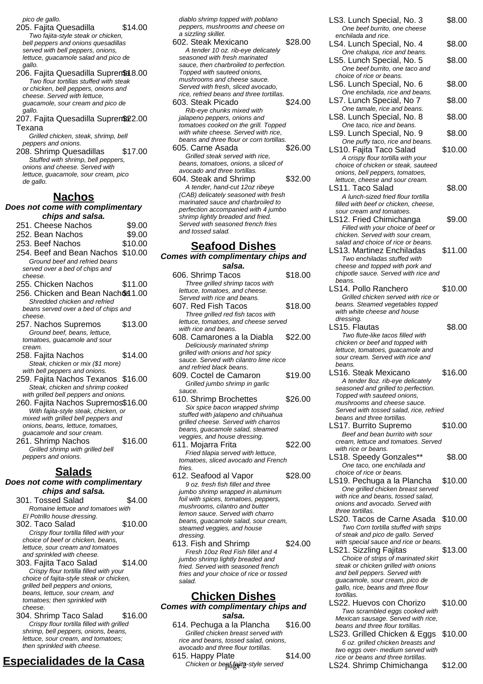pico de gallo.

- 205. Fajita Quesadilla \$14.00 Two fajita-style steak or chicken, bell peppers and onions quesadillas served with bell peppers, onions, lettuce, guacamole salad and pico de gallo.
- 206. Fajita Quesadilla Supremet 8.00 Two flour tortillas stuffed with steak or chicken, bell peppers, onions and cheese. Served with lettuce, guacamole, sour cream and pico de gallo.
- 207. Fajita Quesadilla Supren\$22.00 Texana

Grilled chicken, steak, shrimp, bell peppers and onions.

208. Shrimp Quesadillas \$17.00 Stuffed with shrimp, bell peppers, onions and cheese. Served with lettuce, guacamole, sour cream, pico de gallo.

#### **Nachos**

**Does not come with complimentary chips and salsa.**

- 251. Cheese Nachos \$9.00 252. Bean Nachos \$9.00 253. Beef Nachos \$10.00 254. Beef and Bean Nachos \$10.00 Ground beef and refried beans served over a bed of chips and cheese. 255. Chicken Nachos \$11.00 256. Chicken and Bean Nachos 1.00 Shredded chicken and refried beans served over a bed of chips and cheese.
- 257. Nachos Supremos \$13.00 Ground beef, beans, lettuce, tomatoes, guacamole and sour cream.
- 258. Fajita Nachos \$14.00 Steak, chicken or mix (\$1 more) with bell peppers and onions.
- 259. Fajita Nachos Texanos \$16.00 Steak, chicken and shrimp cooked with grilled bell peppers and onions.
- 260. Fajita Nachos Supremos\$16.00 With fajita-style steak, chicken, or mixed with grilled bell peppers and onions, beans, lettuce, tomatoes, guacamole and sour cream.
- 261. Shrimp Nachos \$16.00 Grilled shrimp with grilled bell peppers and onions.

### **Salads**

#### **Does not come with complimentary chips and salsa.**

- 301. Tossed Salad \$4.00 Romaine lettuce and tomatoes with
- El Potrillo house dressing. 302. Taco Salad \$10.00 Crispy flour tortilla filled with your
- choice of beef or chicken, beans, lettuce, sour cream and tomatoes and sprinkled with cheese.
- 303. Fajita Taco Salad \$14.00 Crispy flour tortilla filled with your choice of fajita-style steak or chicken, grilled bell peppers and onions, beans, lettuce, sour cream, and tomatoes; then sprinkled with cheese.
- 304. Shrimp Taco Salad \$16.00 Crispy flour tortilla filled with grilled shrimp, bell peppers, onions, beans, lettuce, sour cream, and tomatoes; then sprinkled with cheese.

# **Especialidades de la Casa**

diablo shrimp topped with poblano peppers, mushrooms and cheese on a sizzling skillet.

- 602. Steak Mexicano \$28.00 A tender 10 oz. rib-eye delicately seasoned with fresh marinated sauce, then charbroiled to perfection. Topped with sauteed onions, mushrooms and cheese sauce. Served with fresh, sliced avocado, rice, refried beans and three tortillas.
- 603. Steak Picado \$24.00 Rib-eye chunks mixed with jalapeno peppers, onions and tomatoes cooked on the grill. Topped with white cheese. Served with rice. beans and three flour or corn tortillas.
- 605. Carne Asada \$26.00 Grilled steak served with rice, beans, tomatoes, onions, a sliced of avocado and three tortillas.
- 604. Steak and Shrimp \$32.00 A tender, hand-cut 12oz ribeye (CAB) delicately seasoned with fresh marinated sauce and charbroiled to perfection accompanied with 4 jumbo shrimp lightly breaded and fried. Served with seasoned french fries and tossed salad.

## **Seafood Dishes**

| <b>OCAIUUU DISIICS</b><br><b>Comes with complimentary chips and</b> |         |  |
|---------------------------------------------------------------------|---------|--|
|                                                                     |         |  |
| 606. Shrimp Tacos                                                   | \$18.00 |  |
| Three grilled shrimp tacos with                                     |         |  |
| lettuce, tomatoes, and cheese.                                      |         |  |
| Served with rice and beans.                                         |         |  |
| 607. Red Fish Tacos                                                 | \$18.00 |  |
| Three grilled red fish tacos with                                   |         |  |
| lettuce, tomatoes, and cheese served                                |         |  |
| with rice and beans.                                                |         |  |
| 608. Camarones a la Diabla                                          | \$22.00 |  |
| Deliciously marinated shrimp                                        |         |  |
| grilled with onions and hot spicy                                   |         |  |
| sauce. Served with cilantro lime ricce                              |         |  |
| and refried black beans.                                            |         |  |
| 609. Coctel de Camaron                                              | \$19.00 |  |
| Grilled jumbo shrimp in garlic                                      |         |  |
| sauce.                                                              |         |  |
| 610. Shrimp Brochettes                                              | \$26.00 |  |
| Six spice bacon wrapped shrimp                                      |         |  |
| stuffed with jalapeno and chihuahua                                 |         |  |
| grilled cheese. Served with charros                                 |         |  |
| beans, guacamole salad, steamed<br>veggies, and house dressing.     |         |  |
| 611. Mojarra Frita                                                  | \$22.00 |  |
| Fried tilapia served with lettuce.                                  |         |  |
| tomatoes, sliced avocado and French                                 |         |  |
| fries.                                                              |         |  |
| 612. Seafood al Vapor                                               | \$28.00 |  |
| 9 oz. fresh fish fillet and three                                   |         |  |
| jumbo shrimp wrapped in aluminum                                    |         |  |
| foil with enicae tomatoge nannare                                   |         |  |

- foil with spices, tomatoes, peppers, mushrooms, cilantro and butter lemon sauce. Served with charro beans, guacamole salad, sour cream, steamed veggies, and house dressing. 613. Fish and Shrimp \$24.00
- Fresh 10oz Red Fish fillet and 4 jumbo shrimp lightly breaded and fried. Served with seasoned french fries and your choice of rice or tossed salad.

### **Chicken Dishes**

- **Comes with complimentary chips and salsa.**
	- 614. Pechuga a la Plancha \$16.00 Grilled chicken breast served with rice and beans, tossed salad, onions, avocado and three flour tortillas.
	- 615. Happy Plate \$14.00 Chicken or beghtajita-style served
- LS3. Lunch Special, No. 3 \$8.00 One beef burrito, one cheese enchilada and rice. LS4. Lunch Special, No. 4 \$8.00 One chalupa, rice and beans. LS5. Lunch Special, No. 5 \$8.00 One beef burrito, one taco and choice of rice or beans. LS6. Lunch Special, No. 6 \$8.00 One enchilada, rice and beans. LS7. Lunch Special, No 7 \$8.00 One tamale, rice and beans. LS8. Lunch Special, No. 8 \$8.00 One taco, rice and beans. LS9. Lunch Special, No. 9 \$8.00 One puffy taco, rice and beans. LS10. Fajita Taco Salad \$10.00 A crispy flour tortilla with your choice of chicken or steak, sauteed onions, bell peppers, tomatoes, lettuce, cheese and sour cream. LS11. Taco Salad \$8.00 A lunch-sized fried flour tortilla filled with beef or chicken, cheese sour cream and tomatoes. LS12. Fried Chimichanga \$9.00 Filled with your choice of beef or chicken. Served with sour cream, salad and choice of rice or beans. LS13. Martinez Enchiladas \$11.00 Two enchiladas stuffed with cheese and topped with pork and chipotle sauce. Served with rice and beans. LS14. Pollo Ranchero \$10.00 Grilled chicken served with rice or beans. Steamed vegetables topped with white cheese and house dressing. LS15. Flautas \$8.00 Two flute-like tacos filled with chicken or beef and topped with lettuce, tomatoes, guacamole and sour cream. Served with rice and beans. LS16. Steak Mexicano \$16.00 A tender 8oz. rib-eye delicately seasoned and grilled to perfection. Topped with sauteed onions, mushrooms and cheese sauce. Served with tossed salad, rice, refried beans and three tortillas. LS17. Burrito Supremo \$10.00 Beef and bean burrito with sour cream, lettuce and tomatoes. Served with rice or beans. LS18. Speedy Gonzales\*\* \$8.00 One taco, one enchilada and choice of rice or beans. LS19. Pechuga a la Plancha \$10.00 One grilled chicken breast served with rice and beans, tossed salad, onions and avocado. Served with three tortillas. LS20. Tacos de Carne Asada \$10.00 Two Corn tortilla stuffed with strips of steak and pico de gallo. Served with special sauce and rice or beans. LS21. Sizzling Fajitas \$13.00 Choice of strips of marinated skirt steak or chicken grilled with onions and bell peppers. Served with guacamole, sour cream, pico de gallo, rice, beans and three flour tortillas. LS22. Huevos con Chorizo \$10.00 Two scrambled eggs cooked with Mexican sausage. Served with rice,
- beans and three flour tortillas. LS23. Grilled Chicken & Eggs \$10.00 6 oz. grilled chicken breasts and two eggs over- medium served with rice or beans and three tortillas. LS24. Shrimp Chimichanga \$12.00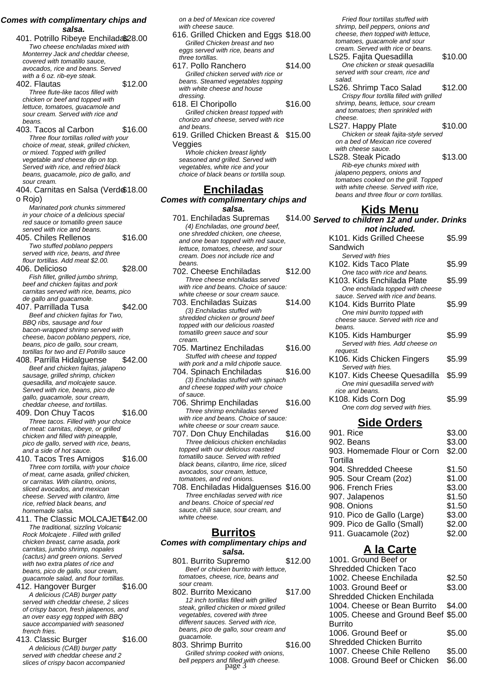#### **Comes with complimentary chips and salsa.**

401. Potrillo Ribeye Enchiladas\$28.00 Two cheese enchiladas mixed with Monterrey Jack and cheddar cheese, covered with tomatillo sauce, avocados, rice and beans. Served with a 6 oz. rib-eye steak.

402. Flautas \$12.00 Three flute-like tacos filled with chicken or beef and topped with lettuce, tomatoes, guacamole and sour cream. Served with rice and beans.

403. Tacos al Carbon \$16.00 Three flour tortillas rolled with your choice of meat, steak, grilled chicken, or mixed. Topped with grilled vegetable and cheese dip on top. Served with rice, and refried black beans, guacamole, pico de gallo, and sour cream.

404. Carnitas en Salsa (Verd \$18.00 o Rojo)

Marinated pork chunks simmered in your choice of a delicious special red sauce or tomatillo green sauce served with rice and beans.

- 405. Chiles Rellenos \$16.00 Two stuffed poblano peppers served with rice, beans, and three flour tortillas. Add meat \$2.00.
- 406. Delicioso \$28.00 Fish fillet, grilled jumbo shrimp, beef and chicken fajitas and pork carnitas served with rice, beams, pico de gallo and guacamole.

407. Parrillada Tusa \$42.00 Beef and chicken fajitas for Two, BBQ ribs, sausage and four bacon-wrapped shrimp served with cheese, bacon poblano peppers, rice, beans, pico de gallo, sour cream, tortillas for two and El Potrillo sauce

- 408. Parrilla Hidalguense \$42.00 Beef and chicken fajitas, jalapeno sausage, grilled shrimp, chicken quesadilla, and molcajete sauce. Served with rice, beans, pico de gallo, guacamole, sour cream, cheddar cheese, and tortillas.
- 409. Don Chuy Tacos \$16.00 Three tacos. Filled with your choice of meat: carnitas, ribeye, or grilled chicken and filled with pineapple, pico de gallo, served with rice, beans, and a side of hot sauce.
- 410. Tacos Tres Amigos \$16.00 Three corn tortilla, with your choice of meat, carne asada, grilled chicken, or carnitas. With cilantro, onions, sliced avocados, and mexican cheese. Served with cilantro, lime rice, refried black beans, and homemade salsa.
- 411. The Classic MOLCAJET\$42.00 The traditional, sizzling Volcanic Rock Molcajete . Filled with grilled chicken breast, carne asada, pork carnitas, jumbo shrimp, nopales (cactus) and green onions. Served with two extra plates of rice and beans, pico de gallo, sour cream, guacamole salad, and flour tortillas.
- 412. Hangover Burger \$16.00 A delicious (CAB) burger patty served with cheddar cheese, 2 slices of crispy bacon, fresh jalapenos, and an over easy egg topped with BBQ sauce accompanied with seasoned french fries.
- 413. Classic Burger \$16.00 A delicious (CAB) burger patty served with cheddar cheese and 2 slices of crispy bacon accompanied

on a bed of Mexican rice covered with cheese sauce.

- 616. Grilled Chicken and Eggs \$18.00 Grilled Chicken breast and two eggs served with rice, beans and three tortillas.
- 617. Pollo Ranchero \$14.00 Grilled chicken served with rice or beans. Steamed vegetables topping with white cheese and house dressing.
- 618. El Choripollo \$16.00 Grilled chicken breast topped with chorizo and cheese, served with rice and beans.

619. Grilled Chicken Breast & \$15.00 Veggies Whole chicken breast lightly seasoned and grilled. Served with

vegetables, white rice and your choice of black beans or tortilla soup.

#### **Enchiladas**

**Comes with complimentary chips and salsa.**

- 701. Enchiladas Supremas (4) Enchiladas, one ground beef, one shredded chicken, one cheese, and one bean topped with red sauce, lettuce, tomatoes, cheese, and sour cream. Does not include rice and beans.
- 702. Cheese Enchiladas \$12.00 Three cheese enchiladas served with rice and beans. Choice of sauce: white cheese or sour cream sauce.
- 703. Enchiladas Suizas \$14.00 (3) Enchiladas stuffed with shredded chicken or ground beef topped with our delicious roasted tomatillo green sauce and sour cream.
- 705. Martinez Enchiladas \$16.00 Stuffed with cheese and topped with pork and a mild chipotle sauce.
- 704. Spinach Enchiladas \$16.00 (3) Enchiladas stuffed with spinach and cheese topped with your choice of sauce.
- 706. Shrimp Enchiladas \$16.00 Three shrimp enchiladas served with rice and beans. Choice of sauce: white cheese or sour cream sauce.

707. Don Chuy Enchiladas \$16.00 Three delicious chicken enchiladas topped with our delicious roasted tomatillo sauce. Served with refried black beans, cilantro, lime rice, sliced avocados, sour cream, lettuce, tomatoes, and red onions.

708. Enchiladas Hidalguenses \$16.00 Three enchiladas served with rice and beans. Choice of special red sauce, chili sauce, sour cream, and white cheese.

#### **Burritos**

#### **Comes with complimentary chips and salsa.**

801. Burrito Supremo \$12.00 Beef or chicken burrito with lettuce, tomatoes, cheese, rice, beans and sour cream.

802. Burrito Mexicano \$17.00 12 inch tortillas filled with grilled steak, grilled chicken or mixed grilled vegetables, covered with three different sauces. Served with rice, beans, pico de gallo, sour cream and guacamole.

803. Shrimp Burrito \$16.00 Grilled shrimp cooked with onions, bell peppers and filled with cheese.<br>page 3

Fried flour tortillas stuffed with shrimp, bell peppers, onions and cheese, then topped with lettuce, tomatoes, guacamole and sour cream. Served with rice or beans.

- LS25. Fajita Quesadilla \$10.00 One chicken or steak quesadilla served with sour cream, rice and salad.
- LS26. Shrimp Taco Salad \$12.00 Crispy flour tortilla filled with grilled shrimp, beans, lettuce, sour cream and tomatoes; then sprinkled with cheese.
- LS27. Happy Plate \$10.00 Chicken or steak fajita-style served on a bed of Mexican rice covered with cheese sauce.
- LS28. Steak Picado \$13.00 Rib-eye chunks mixed with jalapeno peppers, onions and tomatoes cooked on the grill. Topped with white cheese. Served with rice, beans and three flour or corn tortillas.

## **Kids Menu**

\$14.00 Served to children 12 and under. Drinks **not included.** K101. Kids Grilled Cheese **Sandwich** \$5.99 Served with fries K<sub>102</sub>. Kids Taco Plate \$5.99 One taco with rice and beans. K<sub>103</sub>. Kids Enchilada Plate \$5.99 One enchilada topped with cheese sauce. Served with rice and beans. K104. Kids Burrito Plate \$5.99 One mini burrito topped with cheese sauce. Served with rice and beans. K<sub>105</sub>. Kids Hamburger \$5.99 Served with fries. Add cheese on request. K106. Kids Chicken Fingers \$5.99 Served with fries. K107. Kids Cheese Quesadilla \$5.99 One mini quesadilla served with rice and beans. K<sub>108</sub>. Kids Corn Dog \$5.99 One corn dog served with fries. **Side Orders**

| 901. Rice                   | \$3.00 |
|-----------------------------|--------|
| 902. Beans                  | \$3.00 |
| 903. Homemade Flour or Corn | \$2.00 |
| Tortilla                    |        |
| 904. Shredded Cheese        | \$1.50 |
| 905. Sour Cream (2oz)       | \$1.00 |
| 906. French Fries           | \$3.00 |
| 907. Jalapenos              | \$1.50 |
| 908. Onions                 | \$1.50 |
| 910. Pico de Gallo (Large)  | \$3.00 |
| 909. Pico de Gallo (Small)  | \$2.00 |
| 911. Guacamole (2oz)        | \$2.00 |

# **A la Carte**

1001. Ground Beef or Shredded Chicken Taco 1002. Cheese Enchilada \$2.50 1003. Ground Beef or Shredded Chicken Enchilada \$3.00 1004. Cheese or Bean Burrito \$4.00 1005. Cheese and Ground Beef \$5.00 Burrito 1006. Ground Beef or Shredded Chicken Burrito \$5.00 1007. Cheese Chile Relleno \$5.00 1008. Ground Beef or Chicken \$6.00